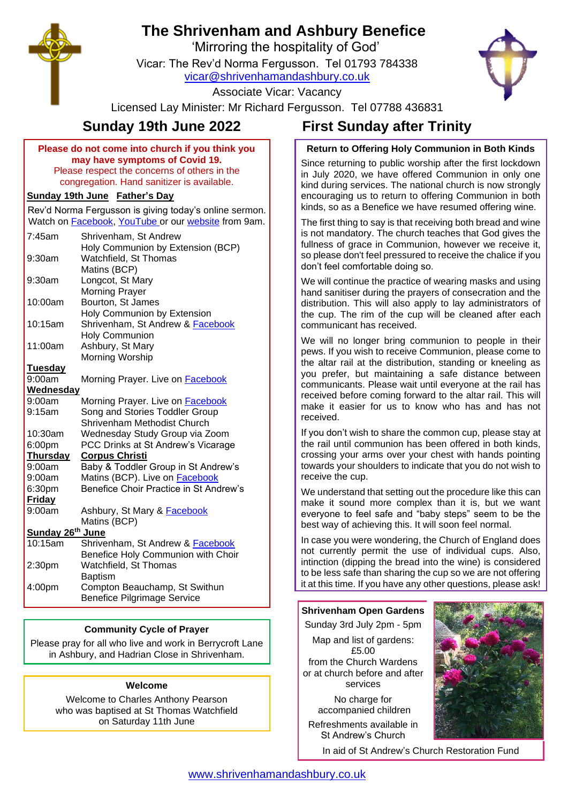# **The Shrivenham and Ashbury Benefice**

'Mirroring the hospitality of God'

Vicar: The Rev'd Norma Fergusson. Tel 01793 784338



Associate Vicar: Vacancy

Licensed Lay Minister: Mr Richard Fergusson. Tel 07788 436831

#### **Please do not come into church if you think you may have symptoms of Covid 19.** Please respect the concerns of others in the congregation. Hand sanitizer is available.

## **Sunday 19th June Father's Day**

Rev'd Norma Fergusson is giving today's online sermon. Watch on [Facebook,](https://www.facebook.com/shrivenhamandashbury/videos/) [YouTube](https://www.youtube.com/channel/UCEggTi-rB5GB9AQzwETv4-Q/videos) or our [website](http://www.shrivenhamandashbury.co.uk/) from 9am.

| 7:45am             | Shrivenham, St Andrew                   |
|--------------------|-----------------------------------------|
|                    | Holy Communion by Extension (BCP)       |
| $9:30$ am          | Watchfield, St Thomas                   |
|                    | Matins (BCP)                            |
| $9:30$ am          | Longcot, St Mary                        |
|                    | <b>Morning Prayer</b>                   |
| 10:00am            | Bourton, St James                       |
|                    | Holy Communion by Extension             |
| 10:15am            | Shrivenham, St Andrew & Facebook        |
|                    | <b>Holy Communion</b>                   |
| 11:00am            | Ashbury, St Mary                        |
|                    | Morning Worship                         |
| <b>Tuesday</b>     |                                         |
| 9:00am             | Morning Prayer. Live on <b>Facebook</b> |
| <b>Wednesday</b>   |                                         |
| 9:00am             | Morning Prayer. Live on <b>Facebook</b> |
| 9:15am             | Song and Stories Toddler Group          |
|                    | Shrivenham Methodist Church             |
| 10:30am            | Wednesday Study Group via Zoom          |
| 6:00pm             | PCC Drinks at St Andrew's Vicarage      |
| <b>Thursday</b>    | <b>Corpus Christi</b>                   |
| 9:00am             | Baby & Toddler Group in St Andrew's     |
| 9:00am             | Matins (BCP). Live on <b>Facebook</b>   |
| 6:30pm             | Benefice Choir Practice in St Andrew's  |
| <b>Friday</b>      |                                         |
| 9:00am             | Ashbury, St Mary & Facebook             |
|                    | Matins (BCP)                            |
| Sunday 26th June   |                                         |
| 10:15am            | Shrivenham, St Andrew & Facebook        |
|                    | Benefice Holy Communion with Choir      |
| 2:30 <sub>pm</sub> | Watchfield, St Thomas                   |
|                    | <b>Baptism</b>                          |
| 4:00pm             | Compton Beauchamp, St Swithun           |
|                    | <b>Benefice Pilgrimage Service</b>      |

# **Community Cycle of Prayer**

Please pray for all who live and work in Berrycroft Lane in Ashbury, and Hadrian Close in Shrivenham.

## **Welcome**

Welcome to Charles Anthony Pearson who was baptised at St Thomas Watchfield on Saturday 11th June

# **Sunday 19th June 2022 First Sunday after Trinity**

# **Return to Offering Holy Communion in Both Kinds**

Since returning to public worship after the first lockdown in July 2020, we have offered Communion in only one kind during services. The national church is now strongly encouraging us to return to offering Communion in both kinds, so as a Benefice we have resumed offering wine.

The first thing to say is that receiving both bread and wine is not mandatory. The church teaches that God gives the fullness of grace in Communion, however we receive it, so please don't feel pressured to receive the chalice if you don't feel comfortable doing so.

We will continue the practice of wearing masks and using hand sanitiser during the prayers of consecration and the distribution. This will also apply to lay administrators of the cup. The rim of the cup will be cleaned after each communicant has received.

We will no longer bring communion to people in their pews. If you wish to receive Communion, please come to the altar rail at the distribution, standing or kneeling as you prefer, but maintaining a safe distance between communicants. Please wait until everyone at the rail has received before coming forward to the altar rail. This will make it easier for us to know who has and has not received.

If you don't wish to share the common cup, please stay at the rail until communion has been offered in both kinds, crossing your arms over your chest with hands pointing towards your shoulders to indicate that you do not wish to receive the cup.

We understand that setting out the procedure like this can make it sound more complex than it is, but we want everyone to feel safe and "baby steps" seem to be the best way of achieving this. It will soon feel normal.

In case you were wondering, the Church of England does not currently permit the use of individual cups. Also, intinction (dipping the bread into the wine) is considered to be less safe than sharing the cup so we are not offering it at this time. If you have any other questions, please ask!

# **Shrivenham Open Gardens**

Sunday 3rd July 2pm - 5pm Map and list of gardens: £5.00 from the Church Wardens or at church before and after services

> No charge for accompanied children

Refreshments available in St Andrew's Church



In aid of St Andrew's Church Restoration Fund